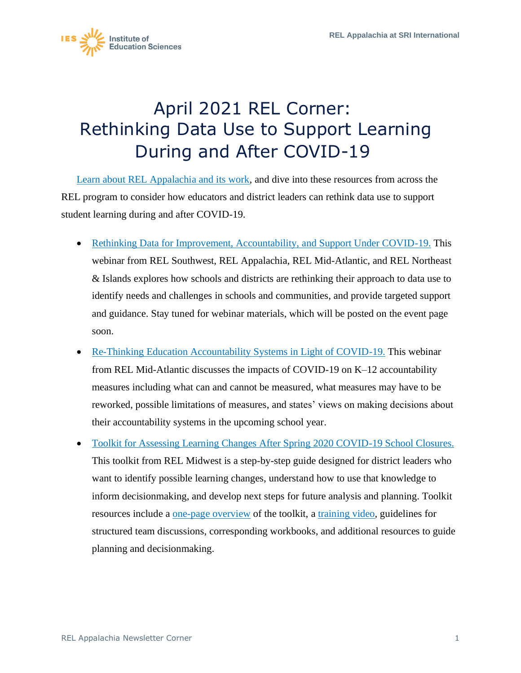

## April 2021 REL Corner: Rethinking Data Use to Support Learning During and After COVID-19

[Learn about REL Appalachia and its work,](https://ies.ed.gov/ncee/edlabs/regions/appalachia/) and dive into these resources from across the REL program to consider how educators and district leaders can rethink data use to support student learning during and after COVID-19.

- [Rethinking Data for Improvement, Accountability, and Support Under COVID-19.](https://ies.ed.gov/ncee/edlabs/regions/southwest/events/2021/webinar-031821.aspx) This webinar from REL Southwest, REL Appalachia, REL Mid-Atlantic, and REL Northeast & Islands explores how schools and districts are rethinking their approach to data use to identify needs and challenges in schools and communities, and provide targeted support and guidance. Stay tuned for webinar materials, which will be posted on the event page soon.
- [Re-Thinking Education Accountability Systems in Light of COVID-19.](https://www.youtube.com/watch?v=8t5BSD8CzWY) This webinar from REL Mid-Atlantic discusses the impacts of COVID-19 on K–12 accountability measures including what can and cannot be measured, what measures may have to be reworked, possible limitations of measures, and states' views on making decisions about their accountability systems in the upcoming school year.
- This toolkit from REL Midwest is a step-by-step guide designed for district leaders who • Toolkit for Assessing Learning Changes After Spring 2020 COVID-19 School Closures. want to identify possible learning changes, understand how to use that knowledge to inform decisionmaking, and develop next steps for future analysis and planning. Toolkit resources include a [one-page overview](https://ies.ed.gov/ncee/edlabs/regions/midwest/pdf/training-and-coaching/learning-changes-handout-508.pdf) of the toolkit, a [training video,](https://youtu.be/1lyV_cQbLJE) guidelines for structured team discussions, corresponding workbooks, and additional resources to guide planning and decisionmaking.